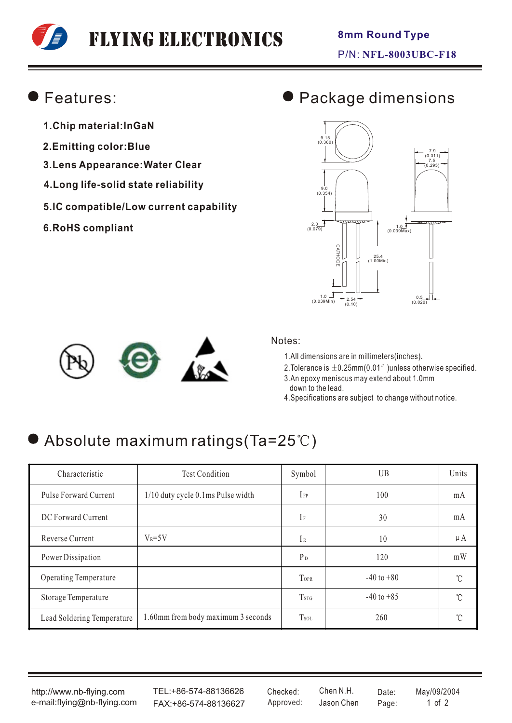# Flying Electronics

## Features:

- **1.Chip material:InGaN**
- **2.Emitting color:Blue**
- **3.Lens Appearance:Water Clear**
- **4.Long life-solid state reliability**
- **5.IC compatible/Low current capability**
- **6.RoHS compliant**

# Package dimensions





#### Notes:

1.All dimensions are in millimeters(inches).

2. Tolerance is  $\pm$  0.25mm(0.01" )unless otherwise specified.

3.An epoxy meniscus may extend about 1.0mm down to the lead.

4.Specifications are subject to change without notice.

# Absolute maximum ratings(Ta=25°C)

| Characteristic             | <b>Test Condition</b>              | Symbol                  | UB             | Units   |
|----------------------------|------------------------------------|-------------------------|----------------|---------|
| Pulse Forward Current      | 1/10 duty cycle 0.1ms Pulse width  | $I_{FP}$                | 100            | mA      |
| DC Forward Current         |                                    | $\rm I$ F               | 30             | mA      |
| Reverse Current            | $V_R = 5V$                         | IR                      | 10             | $\mu A$ |
| Power Dissipation          |                                    | $P_D$                   | 120            | mW      |
| Operating Temperature      |                                    | TOPR                    | $-40$ to $+80$ | °C      |
| Storage Temperature        |                                    | <b>T</b> <sub>STG</sub> | $-40$ to $+85$ | °C      |
| Lead Soldering Temperature | 1.60mm from body maximum 3 seconds | <b>Tsol</b>             | 260            | °C      |

http://www.nb-flying.com e-mail:flying@nb-flying.com

TEL:+86-574-88136626 FAX:+86-574-88136627 Approved: Jason Chen Page: 1 of 2

Jason Chen Checked: Chen N.H. Date: May/09/2004